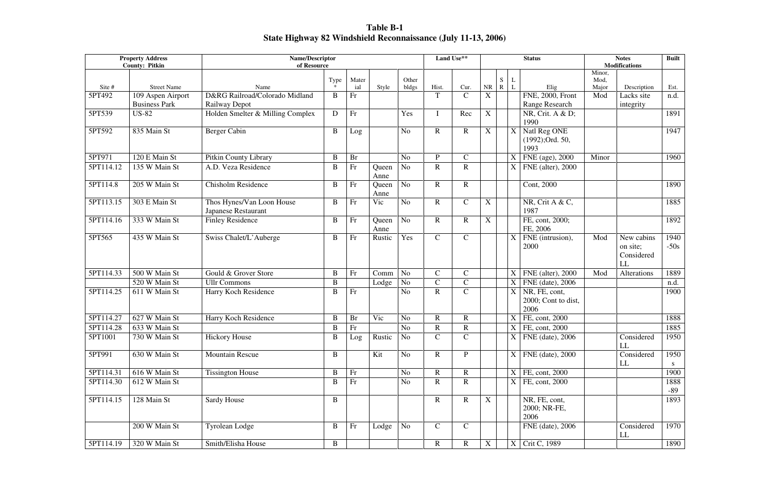**Table B-1 State Highway 82 Windshield Reconnaissance (July 11-13, 2006)** 

| <b>Property Address</b><br><b>County: Pitkin</b> |                                           | <b>Name/Descriptor</b><br>of Resource                   |          |              |               |                |                | Land Use**    |                           |                |                           | <b>Status</b>                                |                         | <b>Notes</b><br><b>Modifications</b>       |                |
|--------------------------------------------------|-------------------------------------------|---------------------------------------------------------|----------|--------------|---------------|----------------|----------------|---------------|---------------------------|----------------|---------------------------|----------------------------------------------|-------------------------|--------------------------------------------|----------------|
| Site #                                           | <b>Street Name</b>                        | Name                                                    | Type     | Mater<br>ial | Style         | Other<br>bldgs | Hist.          | Cur.          | NR                        | S<br>${\bf R}$ | L                         | Elig                                         | Minor,<br>Mod,<br>Major | Description                                | Est.           |
| 5PT492                                           | 109 Aspen Airport<br><b>Business Park</b> | D&RG Railroad/Colorado Midland<br>Railway Depot         | B        | Fr           |               |                | T              | $\mathbf C$   | X                         |                |                           | FNE, 2000, Front<br>Range Research           | Mod                     | Lacks site<br>integrity                    | n.d.           |
| 5PT539                                           | <b>US-82</b>                              | Holden Smelter & Milling Complex                        | D        | Fr           |               | Yes            |                | Rec           | $\boldsymbol{\mathrm{X}}$ |                |                           | NR, Crit. A & D;<br>1990                     |                         |                                            | 1891           |
| 5PT592                                           | 835 Main St                               | <b>Berger Cabin</b>                                     | $\bf{B}$ | Log          |               | N <sub>o</sub> | $\mathbf R$    | $\mathbf R$   | $\mathbf X$               |                | $\boldsymbol{\mathrm{X}}$ | Natl Reg ONE<br>(1992);Ord. 50,<br>1993      |                         |                                            | 1947           |
| 5PT971                                           | 120 E Main St                             | Pitkin County Library                                   | $\bf{B}$ | <b>Br</b>    |               | N <sub>o</sub> | P              | $\mathbf C$   |                           |                | X                         | FNE (age), 2000                              | Minor                   |                                            | 1960           |
| 5PT114.12                                        | 135 W Main St                             | A.D. Veza Residence                                     | B        | Fr           | Queen<br>Anne | N <sub>o</sub> | $\mathbf R$    | $\mathbf R$   |                           |                | X                         | FNE (alter), 2000                            |                         |                                            |                |
| 5PT114.8                                         | 205 W Main St                             | <b>Chisholm Residence</b>                               | B        | Fr           | Queen<br>Anne | N <sub>o</sub> | $\mathbf{R}$   | $\mathbf R$   |                           |                |                           | Cont, 2000                                   |                         |                                            | 1890           |
| 5PT113.15                                        | 303 E Main St                             | Thos Hynes/Van Loon House<br><b>Japanese Restaurant</b> | B        | Fr           | Vic           | N <sub>o</sub> | $\mathbf R$    | $\mathbf C$   | X                         |                |                           | NR, Crit A & C,<br>1987                      |                         |                                            | 1885           |
| 5PT114.16                                        | 333 W Main St                             | <b>Finley Residence</b>                                 | B        | Fr           | Queen<br>Anne | N <sub>o</sub> | $\mathbf R$    | $\mathbf R$   | $\boldsymbol{\mathrm{X}}$ |                |                           | FE, cont, 2000;<br>FE, 2006                  |                         |                                            | 1892           |
| 5PT565                                           | 435 W Main St                             | Swiss Chalet/L'Auberge                                  | B        | Fr           | Rustic        | Yes            | $\overline{C}$ | $\mathbf C$   |                           |                | X                         | FNE (intrusion),<br>2000                     | Mod                     | New cabins<br>on site;<br>Considered<br>LL | 1940<br>$-50s$ |
| 5PT114.33                                        | 500 W Main St                             | Gould & Grover Store                                    | B        | Fr           | Comm          | N <sub>o</sub> | $\mathsf{C}$   | $\mathcal{C}$ |                           |                | $\mathbf X$               | FNE (alter), 2000                            | Mod                     | Alterations                                | 1889           |
|                                                  | 520 W Main St                             | <b>Ullr Commons</b>                                     | $\bf{B}$ |              | Lodge         | No             | $\overline{C}$ | $\mathcal{C}$ |                           |                | X                         | FNE (date), 2006                             |                         |                                            | n.d.           |
| 5PT114.25                                        | 611 W Main St                             | Harry Koch Residence                                    | B        | Fr           |               | N <sub>o</sub> | $\mathbf R$    | $\mathsf{C}$  |                           |                | X                         | NR, FE, cont,<br>2000; Cont to dist,<br>2006 |                         |                                            | 1900           |
| 5PT114.27                                        | 627 W Main St                             | Harry Koch Residence                                    | B        | <b>Br</b>    | Vic           | N <sub>o</sub> | $\mathbf R$    | $\mathbf R$   |                           |                | X                         | FE, cont, 2000                               |                         |                                            | 1888           |
| 5PT114.28                                        | 633 W Main St                             |                                                         | B        | Fr           |               | N <sub>o</sub> | R              | ${\bf R}$     |                           |                | $\mathbf X$               | FE, cont, 2000                               |                         |                                            | 1885           |
| 5PT1001                                          | 730 W Main St                             | <b>Hickory House</b>                                    | B        | Log          | Rustic No     |                | $\mathbf C$    | $\mathbf C$   |                           |                | $\overline{X}$            | FNE (date), 2006                             |                         | Considered<br>LL                           | 1950           |
| 5PT991                                           | 630 W Main St                             | <b>Mountain Rescue</b>                                  | $\bf{B}$ |              | Kit           | N <sub>o</sub> | $\mathbf R$    | $\mathbf{P}$  |                           |                | $\mathbf X$               | FNE (date), 2000                             |                         | Considered<br>LL                           | 1950<br>S.     |
| 5PT114.31                                        | 616 W Main St                             | <b>Tissington House</b>                                 | $\bf{B}$ | Fr           |               | N <sub>o</sub> | $\mathbf R$    | $\mathbf R$   |                           |                | X                         | FE, cont, 2000                               |                         |                                            | 1900           |
| 5PT114.30                                        | 612 W Main St                             |                                                         | $\bf{B}$ | Fr           |               | No             | $\mathbf R$    | $\mathbf R$   |                           |                | X                         | FE, cont, 2000                               |                         |                                            | 1888<br>-89    |
| 5PT114.15                                        | 128 Main St                               | Sardy House                                             | B        |              |               |                | $\mathbf R$    | $\mathbf R$   | $\mathbf X$               |                |                           | NR, FE, cont,<br>2000; NR-FE,<br>2006        |                         |                                            | 1893           |
|                                                  | 200 W Main St                             | <b>Tyrolean Lodge</b>                                   | $\bf{B}$ | Fr           | Lodge         | No             | $\mathbf C$    | $\mathcal{C}$ |                           |                |                           | FNE (date), 2006                             |                         | Considered<br>LL                           | 1970           |
| 5PT114.19                                        | 320 W Main St                             | Smith/Elisha House                                      | B        |              |               |                | $\mathbf{R}$   | $\mathbf R$   | X                         |                | X                         | Crit C, 1989                                 |                         |                                            | 1890           |